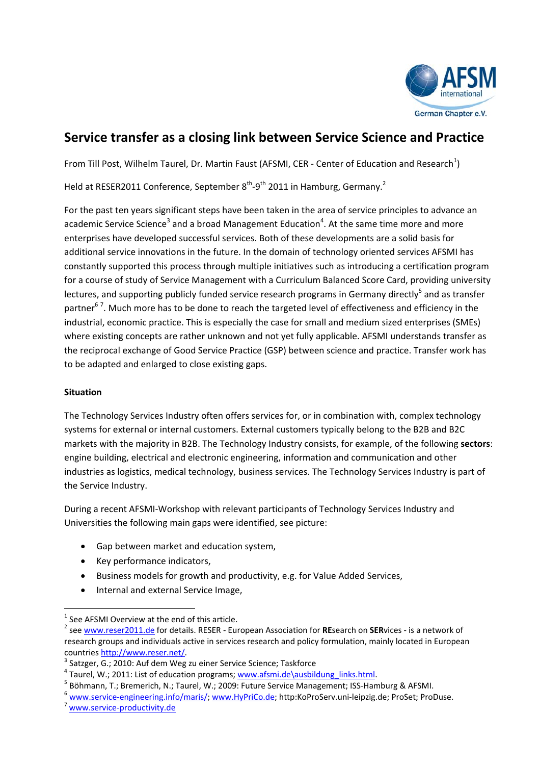

# **Service transfer as a closing link between Service Science and Practice**

From Till Post, Wilhelm Taurel, Dr. Martin Faust (AFSMI, CER - Center of Education and Research<sup>1</sup>)

Held at RESER2011 Conference, September 8<sup>th</sup>-9<sup>th</sup> 2011 in Hamburg, Germany.<sup>2</sup>

For the past ten years significant steps have been taken in the area of service principles to advance an academic Service Science<sup>3</sup> and a broad Management Education<sup>4</sup>. At the same time more and more enterprises have developed successful services. Both of these developments are a solid basis for additional service innovations in the future. In the domain of technology oriented services AFSMI has constantly supported this process through multiple initiatives such as introducing a certification program for a course of study of Service Management with a Curriculum Balanced Score Card, providing university lectures, and supporting publicly funded service research programs in Germany directly<sup>5</sup> and as transfer partner<sup>67</sup>. Much more has to be done to reach the targeted level of effectiveness and efficiency in the industrial, economic practice. This is especially the case for small and medium sized enterprises (SMEs) where existing concepts are rather unknown and not yet fully applicable. AFSMI understands transfer as the reciprocal exchange of Good Service Practice (GSP) between science and practice. Transfer work has to be adapted and enlarged to close existing gaps.

## **Situation**

The Technology Services Industry often offers services for, or in combination with, complex technology systems for external or internal customers. External customers typically belong to the B2B and B2C markets with the majority in B2B. The Technology Industry consists, for example, of the following **sectors**: engine building, electrical and electronic engineering, information and communication and other industries as logistics, medical technology, business services. The Technology Services Industry is part of the Service Industry.

During a recent AFSMI‐Workshop with relevant participants of Technology Services Industry and Universities the following main gaps were identified, see picture:

- Gap between market and education system,
- Key performance indicators,
- Business models for growth and productivity, e.g. for Value Added Services,
- Internal and external Service Image,

<sup>&</sup>lt;sup>1</sup> See AFSMI Overview at the end of this article.<br><sup>2</sup> see ww<u>w.reser2011.de</u> for details. RESER - European Association for **RE**search on **SER**vices - is a network of research groups and individuals active in services research and policy formulation, mainly located in European

countries <u>http://www.reser.net/</u><br>
<sup>3</sup> Satzger, G.; 2010: Auf dem Weg zu einer Service Science; Taskforce<br>
<sup>4</sup> Taurel, W.; 2011: List of education programs; <u>www.afsmi.de\ausbildung\_links.html</u>.<br>
<sup>5</sup> Böhmann, T.; Bremerich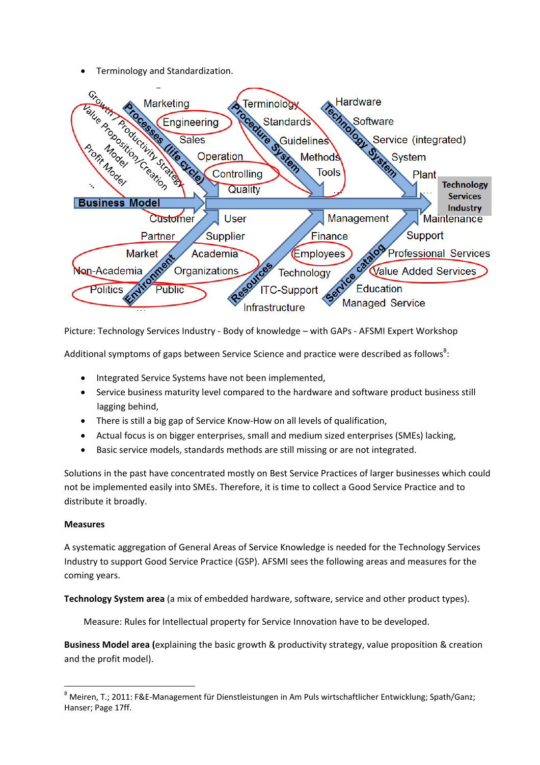• Terminology and Standardization.



Picture: Technology Services Industry ‐ Body of knowledge – with GAPs ‐ AFSMI Expert Workshop

Additional symptoms of gaps between Service Science and practice were described as follows<sup>8</sup>:

- Integrated Service Systems have not been implemented,
- Service business maturity level compared to the hardware and software product business still lagging behind,
- There is still a big gap of Service Know‐How on all levels of qualification,
- Actual focus is on bigger enterprises, small and medium sized enterprises (SMEs) lacking,
- Basic service models, standards methods are still missing or are not integrated.

Solutions in the past have concentrated mostly on Best Service Practices of larger businesses which could not be implemented easily into SMEs. Therefore, it is time to collect a Good Service Practice and to distribute it broadly.

## **Measures**

A systematic aggregation of General Areas of Service Knowledge is needed for the Technology Services Industry to support Good Service Practice (GSP). AFSMI sees the following areas and measures for the coming years.

**Technology System area** (a mix of embedded hardware, software, service and other product types).

Measure: Rules for Intellectual property for Service Innovation have to be developed.

**Business Model area (**explaining the basic growth & productivity strategy, value proposition & creation and the profit model).

<sup>8</sup> Meiren, T.; 2011: F&E‐Management für Dienstleistungen in Am Puls wirtschaftlicher Entwicklung; Spath/Ganz; Hanser; Page 17ff.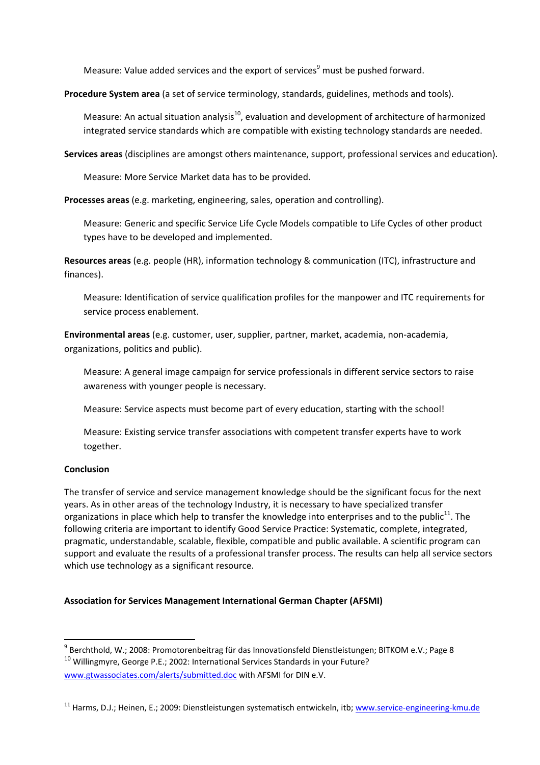Measure: Value added services and the export of services<sup>9</sup> must be pushed forward.

**Procedure System area** (a set of service terminology, standards, guidelines, methods and tools).

Measure: An actual situation analysis<sup>10</sup>, evaluation and development of architecture of harmonized integrated service standards which are compatible with existing technology standards are needed.

**Services areas** (disciplines are amongst others maintenance, support, professional services and education).

Measure: More Service Market data has to be provided.

**Processes areas** (e.g. marketing, engineering, sales, operation and controlling).

Measure: Generic and specific Service Life Cycle Models compatible to Life Cycles of other product types have to be developed and implemented.

**Resources areas** (e.g. people (HR), information technology & communication (ITC), infrastructure and finances).

Measure: Identification of service qualification profiles for the manpower and ITC requirements for service process enablement.

**Environmental areas** (e.g. customer, user, supplier, partner, market, academia, non‐academia, organizations, politics and public).

Measure: A general image campaign for service professionals in different service sectors to raise awareness with younger people is necessary.

Measure: Service aspects must become part of every education, starting with the school!

Measure: Existing service transfer associations with competent transfer experts have to work together.

### **Conclusion**

The transfer of service and service management knowledge should be the significant focus for the next years. As in other areas of the technology Industry, it is necessary to have specialized transfer organizations in place which help to transfer the knowledge into enterprises and to the public<sup>11</sup>. The following criteria are important to identify Good Service Practice: Systematic, complete, integrated, pragmatic, understandable, scalable, flexible, compatible and public available. A scientific program can support and evaluate the results of a professional transfer process. The results can help all service sectors which use technology as a significant resource.

## **Association for Services Management International German Chapter (AFSMI)**

<sup>&</sup>lt;sup>9</sup> Berchthold, W.; 2008: Promotorenbeitrag für das Innovationsfeld Dienstleistungen; BITKOM e.V.; Page 8 <sup>10</sup> Willingmyre, George P.E.; 2002: International Services Standards in your Future? www.gtwassociates.com/alerts/submitted.doc with AFSMI for DIN e.V.

<sup>&</sup>lt;sup>11</sup> Harms, D.J.; Heinen, E.; 2009: Dienstleistungen systematisch entwickeln, itb; www.service-engineering-kmu.de